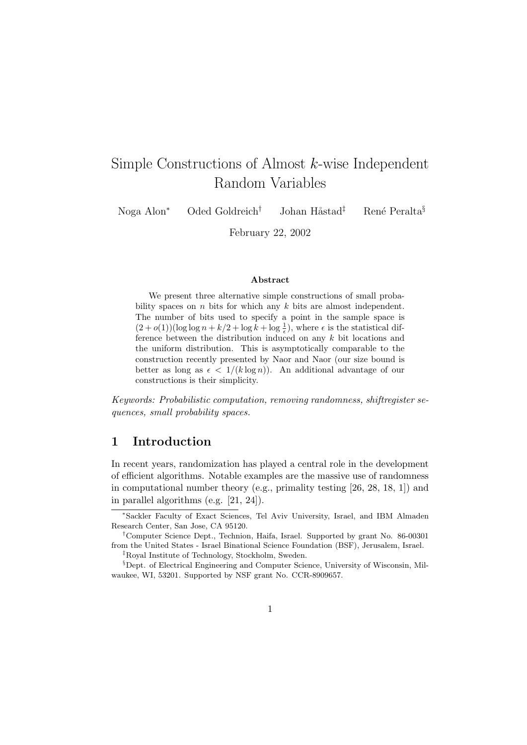# Simple Constructions of Almost k-wise Independent Random Variables

Noga Alon<sup>∗</sup> Oded Goldreich<sup>†</sup> Johan Håstad<sup>‡</sup> René Peralta<sup>§</sup>

February 22, 2002

#### Abstract

We present three alternative simple constructions of small probability spaces on  $n$  bits for which any  $k$  bits are almost independent. The number of bits used to specify a point in the sample space is  $(2+o(1))(\log \log n + k/2 + \log k + \log \frac{1}{\epsilon})$ , where  $\epsilon$  is the statistical difference between the distribution induced on any k bit locations and the uniform distribution. This is asymptotically comparable to the construction recently presented by Naor and Naor (our size bound is better as long as  $\epsilon < 1/(k \log n)$ . An additional advantage of our constructions is their simplicity.

Keywords: Probabilistic computation, removing randomness, shiftregister sequences, small probability spaces.

# 1 Introduction

In recent years, randomization has played a central role in the development of efficient algorithms. Notable examples are the massive use of randomness in computational number theory (e.g., primality testing [26, 28, 18, 1]) and in parallel algorithms (e.g. [21, 24]).

<sup>∗</sup>Sackler Faculty of Exact Sciences, Tel Aviv University, Israel, and IBM Almaden Research Center, San Jose, CA 95120.

<sup>†</sup>Computer Science Dept., Technion, Haifa, Israel. Supported by grant No. 86-00301 from the United States - Israel Binational Science Foundation (BSF), Jerusalem, Israel. ‡Royal Institute of Technology, Stockholm, Sweden.

<sup>§</sup>Dept. of Electrical Engineering and Computer Science, University of Wisconsin, Milwaukee, WI, 53201. Supported by NSF grant No. CCR-8909657.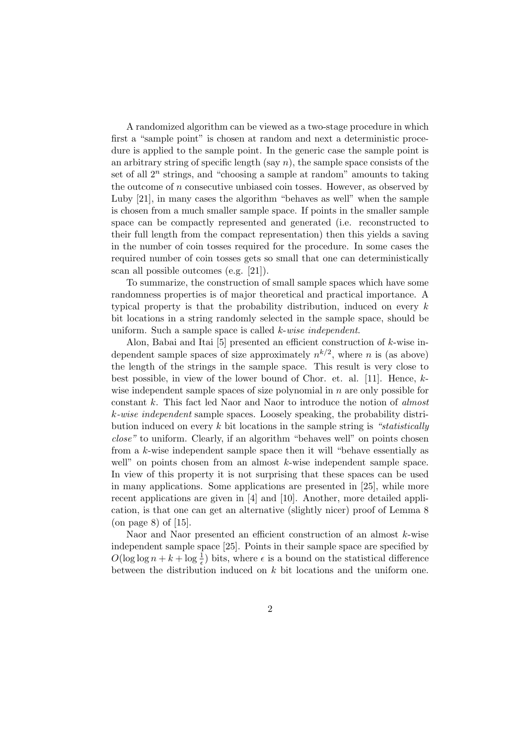A randomized algorithm can be viewed as a two-stage procedure in which first a "sample point" is chosen at random and next a deterministic procedure is applied to the sample point. In the generic case the sample point is an arbitrary string of specific length (say  $n$ ), the sample space consists of the set of all  $2^n$  strings, and "choosing a sample at random" amounts to taking the outcome of  $n$  consecutive unbiased coin tosses. However, as observed by Luby [21], in many cases the algorithm "behaves as well" when the sample is chosen from a much smaller sample space. If points in the smaller sample space can be compactly represented and generated (i.e. reconstructed to their full length from the compact representation) then this yields a saving in the number of coin tosses required for the procedure. In some cases the required number of coin tosses gets so small that one can deterministically scan all possible outcomes (e.g. [21]).

To summarize, the construction of small sample spaces which have some randomness properties is of major theoretical and practical importance. A typical property is that the probability distribution, induced on every k bit locations in a string randomly selected in the sample space, should be uniform. Such a sample space is called k-wise independent.

Alon, Babai and Itai [5] presented an efficient construction of k-wise independent sample spaces of size approximately  $n^{k/2}$ , where n is (as above) the length of the strings in the sample space. This result is very close to best possible, in view of the lower bound of Chor. et. al. [11]. Hence, kwise independent sample spaces of size polynomial in  $n$  are only possible for constant k. This fact led Naor and Naor to introduce the notion of almost k-wise independent sample spaces. Loosely speaking, the probability distribution induced on every  $k$  bit locations in the sample string is "statistically close" to uniform. Clearly, if an algorithm "behaves well" on points chosen from a k-wise independent sample space then it will "behave essentially as well" on points chosen from an almost k-wise independent sample space. In view of this property it is not surprising that these spaces can be used in many applications. Some applications are presented in [25], while more recent applications are given in [4] and [10]. Another, more detailed application, is that one can get an alternative (slightly nicer) proof of Lemma 8 (on page 8) of [15].

Naor and Naor presented an efficient construction of an almost k-wise independent sample space [25]. Points in their sample space are specified by  $O(\log \log n + k + \log \frac{1}{\epsilon})$  bits, where  $\epsilon$  is a bound on the statistical difference between the distribution induced on  $k$  bit locations and the uniform one.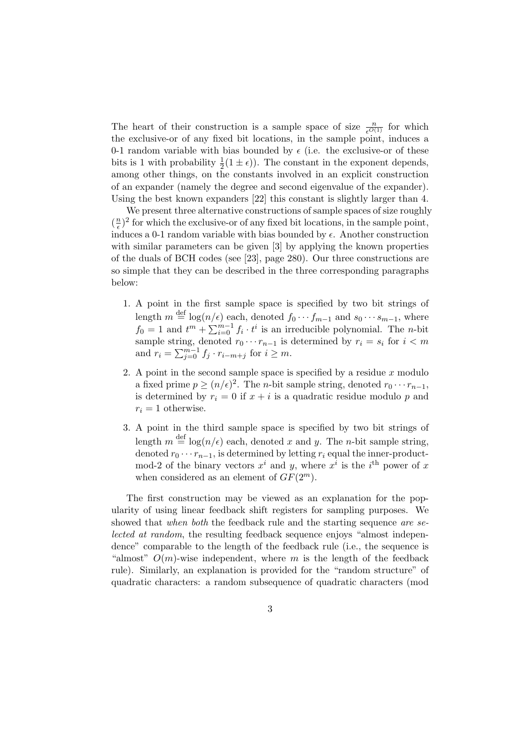The heart of their construction is a sample space of size  $\frac{n}{e^{O(1)}}$  for which the exclusive-or of any fixed bit locations, in the sample point, induces a 0-1 random variable with bias bounded by  $\epsilon$  (i.e. the exclusive-or of these bits is 1 with probability  $\frac{1}{2}(1 \pm \epsilon)$ ). The constant in the exponent depends, among other things, on the constants involved in an explicit construction of an expander (namely the degree and second eigenvalue of the expander). Using the best known expanders [22] this constant is slightly larger than 4.

We present three alternative constructions of sample spaces of size roughly  $\left(\frac{n}{\epsilon}\right)$  $(\frac{n}{\epsilon})^2$  for which the exclusive-or of any fixed bit locations, in the sample point, induces a 0-1 random variable with bias bounded by  $\epsilon$ . Another construction with similar parameters can be given [3] by applying the known properties of the duals of BCH codes (see [23], page 280). Our three constructions are so simple that they can be described in the three corresponding paragraphs below:

- 1. A point in the first sample space is specified by two bit strings of length  $m \stackrel{\text{def}}{=} \log(n/\epsilon)$  each, denoted  $f_0 \cdots f_{m-1}$  and  $s_0 \cdots s_{m-1}$ , where  $f_0 = 1$  and  $t^m + \sum_{i=0}^{m-1} f_i \cdot t^i$  is an irreducible polynomial. The *n*-bit sample string, denoted  $r_0 \cdots r_{n-1}$  is determined by  $r_i = s_i$  for  $i < m$ and  $r_i = \sum_{j=0}^{m-1} f_j \cdot r_{i-m+j}$  for  $i \geq m$ .
- 2. A point in the second sample space is specified by a residue  $x$  modulo a fixed prime  $p \ge (n/\epsilon)^2$ . The *n*-bit sample string, denoted  $r_0 \cdots r_{n-1}$ , is determined by  $r_i = 0$  if  $x + i$  is a quadratic residue modulo p and  $r_i = 1$  otherwise.
- 3. A point in the third sample space is specified by two bit strings of length  $m \stackrel{\text{def}}{=} \log(n/\epsilon)$  each, denoted x and y. The n-bit sample string, denoted  $r_0 \cdots r_{n-1}$ , is determined by letting  $r_i$  equal the inner-productmod-2 of the binary vectors  $x^i$  and y, where  $x^i$  is the i<sup>th</sup> power of x when considered as an element of  $GF(2^m)$ .

The first construction may be viewed as an explanation for the popularity of using linear feedback shift registers for sampling purposes. We showed that when both the feedback rule and the starting sequence are selected at random, the resulting feedback sequence enjoys "almost independence" comparable to the length of the feedback rule (i.e., the sequence is "almost"  $O(m)$ -wise independent, where m is the length of the feedback rule). Similarly, an explanation is provided for the "random structure" of quadratic characters: a random subsequence of quadratic characters (mod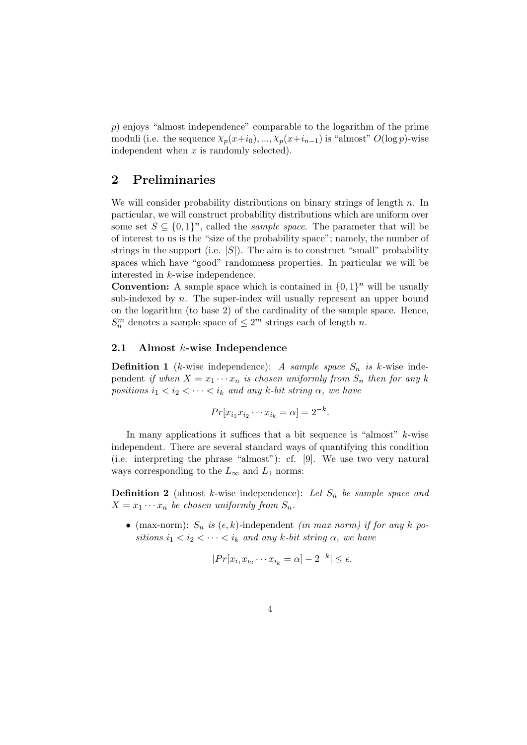p) enjoys "almost independence" comparable to the logarithm of the prime moduli (i.e. the sequence  $\chi_p(x+i_0), \ldots, \chi_p(x+i_{n-1})$  is "almost"  $O(\log p)$ -wise independent when  $x$  is randomly selected).

# 2 Preliminaries

We will consider probability distributions on binary strings of length  $n$ . In particular, we will construct probability distributions which are uniform over some set  $S \subseteq \{0,1\}^n$ , called the *sample space*. The parameter that will be of interest to us is the "size of the probability space"; namely, the number of strings in the support (i.e.  $|S|$ ). The aim is to construct "small" probability spaces which have "good" randomness properties. In particular we will be interested in k-wise independence.

**Convention:** A sample space which is contained in  $\{0, 1\}^n$  will be usually sub-indexed by  $n$ . The super-index will usually represent an upper bound on the logarithm (to base 2) of the cardinality of the sample space. Hence,  $S_n^m$  denotes a sample space of  $\leq 2^m$  strings each of length n.

#### 2.1 Almost k-wise Independence

**Definition 1** (k-wise independence): A sample space  $S_n$  is k-wise independent if when  $X = x_1 \cdots x_n$  is chosen uniformly from  $S_n$  then for any k positions  $i_1 < i_2 < \cdots < i_k$  and any k-bit string  $\alpha$ , we have

$$
Pr[x_{i_1}x_{i_2}\cdots x_{i_k}=\alpha]=2^{-k}.
$$

In many applications it suffices that a bit sequence is "almost"  $k$ -wise independent. There are several standard ways of quantifying this condition (i.e. interpreting the phrase "almost"): cf. [9]. We use two very natural ways corresponding to the  $L_{\infty}$  and  $L_1$  norms:

**Definition 2** (almost k-wise independence): Let  $S_n$  be sample space and  $X = x_1 \cdots x_n$  be chosen uniformly from  $S_n$ .

• (max-norm):  $S_n$  is  $(\epsilon, k)$ -independent *(in max norm)* if for any k positions  $i_1 < i_2 < \cdots < i_k$  and any k-bit string  $\alpha$ , we have

$$
|Pr[x_{i_1}x_{i_2}\cdots x_{i_k} = \alpha] - 2^{-k}| \le \epsilon.
$$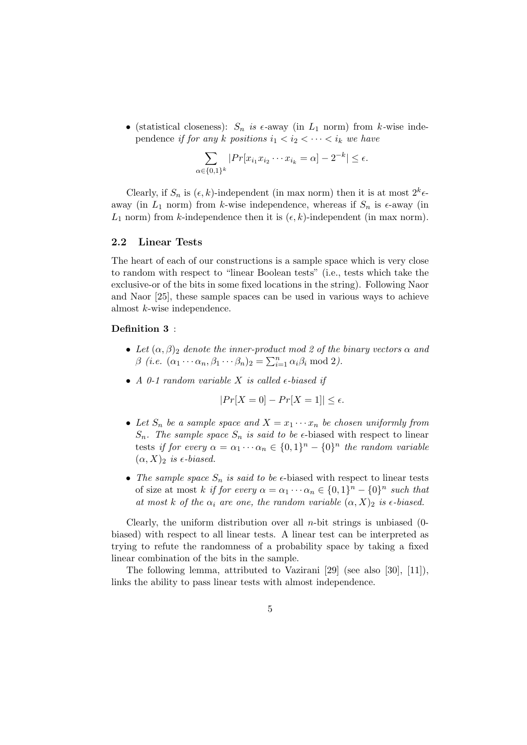• (statistical closeness):  $S_n$  is  $\epsilon$ -away (in  $L_1$  norm) from k-wise independence if for any k positions  $i_1 < i_2 < \cdots < i_k$  we have

$$
\sum_{\alpha \in \{0,1\}^k} |Pr[x_{i_1} x_{i_2} \cdots x_{i_k} = \alpha] - 2^{-k}| \le \epsilon.
$$

Clearly, if  $S_n$  is  $(\epsilon, k)$ -independent (in max norm) then it is at most  $2^k \epsilon$ away (in  $L_1$  norm) from k-wise independence, whereas if  $S_n$  is  $\epsilon$ -away (in  $L_1$  norm) from k-independence then it is  $(\epsilon, k)$ -independent (in max norm).

#### 2.2 Linear Tests

The heart of each of our constructions is a sample space which is very close to random with respect to "linear Boolean tests" (i.e., tests which take the exclusive-or of the bits in some fixed locations in the string). Following Naor and Naor [25], these sample spaces can be used in various ways to achieve almost k-wise independence.

#### Definition 3 :

- Let  $(\alpha, \beta)$ <sub>2</sub> denote the inner-product mod 2 of the binary vectors  $\alpha$  and  $\beta$  (*i.e.*  $(\alpha_1 \cdots \alpha_n, \beta_1 \cdots \beta_n)_2 = \sum_{i=1}^n \alpha_i \beta_i \text{ mod } 2$ ).
- A 0-1 random variable X is called  $\epsilon$ -biased if

$$
|Pr[X=0] - Pr[X=1]| \le \epsilon.
$$

- Let  $S_n$  be a sample space and  $X = x_1 \cdots x_n$  be chosen uniformly from  $S_n$ . The sample space  $S_n$  is said to be e-biased with respect to linear tests if for every  $\alpha = \alpha_1 \cdots \alpha_n \in \{0,1\}^n - \{0\}^n$  the random variable  $(\alpha, X)_2$  is  $\epsilon$ -biased.
- The sample space  $S_n$  is said to be  $\epsilon$ -biased with respect to linear tests of size at most k if for every  $\alpha = \alpha_1 \cdots \alpha_n \in \{0,1\}^n - \{0\}^n$  such that at most k of the  $\alpha_i$  are one, the random variable  $(\alpha, X)_2$  is  $\epsilon$ -biased.

Clearly, the uniform distribution over all *n*-bit strings is unbiased  $(0$ biased) with respect to all linear tests. A linear test can be interpreted as trying to refute the randomness of a probability space by taking a fixed linear combination of the bits in the sample.

The following lemma, attributed to Vazirani [29] (see also [30], [11]), links the ability to pass linear tests with almost independence.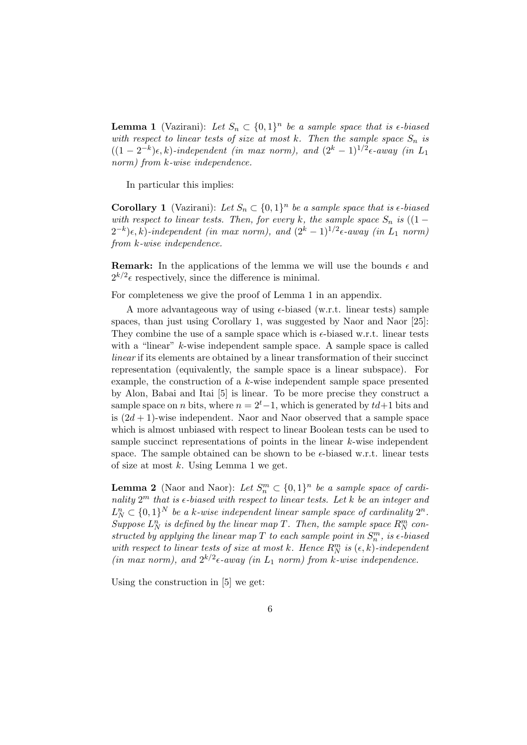**Lemma 1** (Vazirani): Let  $S_n \subset \{0,1\}^n$  be a sample space that is  $\epsilon$ -biased with respect to linear tests of size at most k. Then the sample space  $S_n$  is  $((1-2^{-k})\epsilon, k)$ -independent (in max norm), and  $(2^k-1)^{1/2}\epsilon$ -away (in L<sub>1</sub>) norm) from  $k$ -wise independence.

In particular this implies:

**Corollary 1** (Vazirani): Let  $S_n \subset \{0,1\}^n$  be a sample space that is  $\epsilon$ -biased with respect to linear tests. Then, for every k, the sample space  $S_n$  is  $((1 (2^{-k})\epsilon, k$ )-independent (in max norm), and  $(2^k-1)^{1/2}\epsilon$ -away (in  $L_1$  norm) from k-wise independence.

**Remark:** In the applications of the lemma we will use the bounds  $\epsilon$  and  $2^{k/2}$  respectively, since the difference is minimal.

For completeness we give the proof of Lemma 1 in an appendix.

A more advantageous way of using  $\epsilon$ -biased (w.r.t. linear tests) sample spaces, than just using Corollary 1, was suggested by Naor and Naor [25]: They combine the use of a sample space which is  $\epsilon$ -biased w.r.t. linear tests with a "linear" k-wise independent sample space. A sample space is called linear if its elements are obtained by a linear transformation of their succinct representation (equivalently, the sample space is a linear subspace). For example, the construction of a k-wise independent sample space presented by Alon, Babai and Itai [5] is linear. To be more precise they construct a sample space on *n* bits, where  $n = 2<sup>t</sup> - 1$ , which is generated by  $td+1$  bits and is  $(2d + 1)$ -wise independent. Naor and Naor observed that a sample space which is almost unbiased with respect to linear Boolean tests can be used to sample succinct representations of points in the linear  $k$ -wise independent space. The sample obtained can be shown to be  $\epsilon$ -biased w.r.t. linear tests of size at most  $k$ . Using Lemma 1 we get.

**Lemma 2** (Naor and Naor): Let  $S_n^m \subset \{0,1\}^n$  be a sample space of cardinality  $2^m$  that is  $\epsilon$ -biased with respect to linear tests. Let k be an integer and  $L_N^n \subset \{0,1\}^N$  be a k-wise independent linear sample space of cardinality  $2^n$ . Suppose  $L_N^n$  is defined by the linear map T. Then, the sample space  $R_N^m$  constructed by applying the linear map T to each sample point in  $S_n^m$ , is  $\epsilon$ -biased with respect to linear tests of size at most k. Hence  $R_N^m$  is  $(\epsilon, k)$ -independent (in max norm), and  $2^{k/2} \epsilon$ -away (in  $L_1$  norm) from k-wise independence.

Using the construction in [5] we get: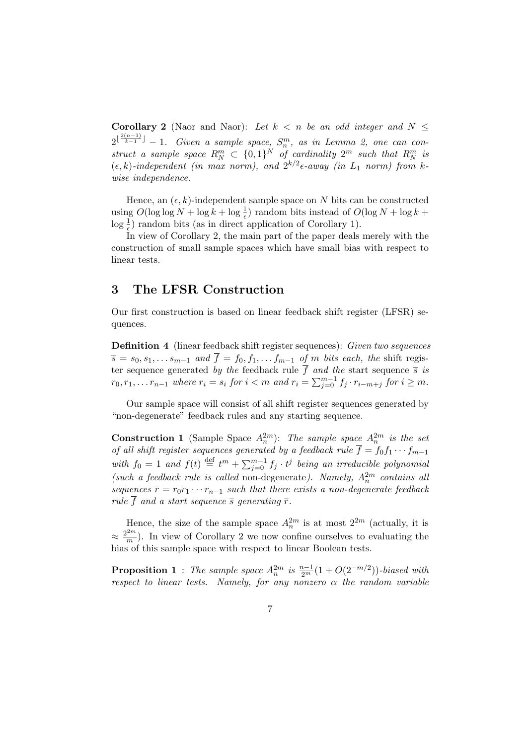**Corollary 2** (Naor and Naor): Let  $k < n$  be an odd integer and  $N \leq$  $2^{\lfloor\frac{2(n-1)}{k-1}\rfloor}-1.$  Given a sample space,  $S_n^m$ , as in Lemma 2, one can construct a sample space  $R_N^m \subset \{0,1\}^N$  of cardinality  $2^m$  such that  $R_N^m$  is  $(\epsilon, k)$ -independent (in max norm), and  $2^{k/2} \epsilon$ -away (in  $L_1$  norm) from kwise independence.

Hence, an  $(\epsilon, k)$ -independent sample space on N bits can be constructed using  $O(\log \log N + \log k + \log \frac{1}{\epsilon})$  random bits instead of  $O(\log N + \log k + \frac{1}{\epsilon})$  $\log \frac{1}{\epsilon}$ ) random bits (as in direct application of Corollary 1).

In view of Corollary 2, the main part of the paper deals merely with the construction of small sample spaces which have small bias with respect to linear tests.

## 3 The LFSR Construction

Our first construction is based on linear feedback shift register (LFSR) sequences.

Definition 4 (linear feedback shift register sequences): Given two sequences  $\overline{s} = s_0, s_1, \ldots s_{m-1}$  and  $\overline{f} = f_0, f_1, \ldots f_{m-1}$  of m bits each, the shift register sequence generated by the feedback rule f and the start sequence  $\overline{s}$  is  $r_0, r_1, \ldots r_{n-1}$  where  $r_i = s_i$  for  $i < m$  and  $r_i = \sum_{j=0}^{m-1} f_j \cdot r_{i-m+j}$  for  $i \geq m$ .

Our sample space will consist of all shift register sequences generated by "non-degenerate" feedback rules and any starting sequence.

**Construction 1** (Sample Space  $A_n^{2m}$ ): The sample space  $A_n^{2m}$  is the set of all shift register sequences generated by a feedback rule  $\overline{f} = f_0 f_1 \cdots f_{m-1}$ with  $f_0 = 1$  and  $f(t) \stackrel{\text{def}}{=} t^m + \sum_{j=0}^{m-1} f_j \cdot t^j$  being an irreducible polynomial (such a feedback rule is called non-degenerate). Namely,  $A_n^{2m}$  contains all sequences  $\bar{r} = r_0 r_1 \cdots r_{n-1}$  such that there exists a non-degenerate feedback rule  $\overline{f}$  and a start sequence  $\overline{s}$  generating  $\overline{r}$ .

Hence, the size of the sample space  $A_n^{2m}$  is at most  $2^{2m}$  (actually, it is  $\approx \frac{2^{2m}}{2}$  $\frac{m}{m}$ ). In view of Corollary 2 we now confine ourselves to evaluating the bias of this sample space with respect to linear Boolean tests.

**Proposition 1** : The sample space  $A_n^{2m}$  is  $\frac{n-1}{2^m}(1+O(2^{-m/2}))$ -biased with respect to linear tests. Namely, for any nonzero  $\alpha$  the random variable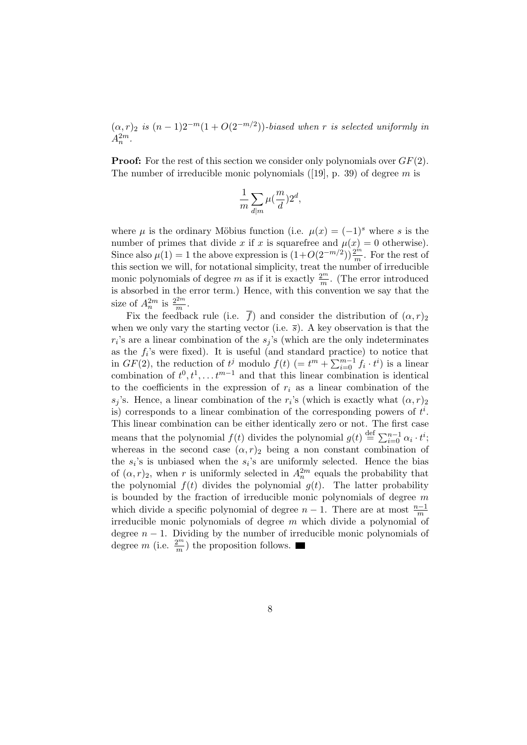$(\alpha, r)_2$  is  $(n-1)2^{-m}(1+O(2^{-m/2}))$ -biased when r is selected uniformly in  $A_n^{2m}$ .

**Proof:** For the rest of this section we consider only polynomials over  $GF(2)$ . The number of irreducible monic polynomials  $(19)$ , p. 39) of degree m is

$$
\frac{1}{m}\sum_{d|m}\mu(\frac{m}{d})2^d,
$$

where  $\mu$  is the ordinary Möbius function (i.e.  $\mu(x) = (-1)^s$  where s is the number of primes that divide x if x is squarefree and  $\mu(x) = 0$  otherwise). Since also  $\mu(1) = 1$  the above expression is  $(1 + O(2^{-m/2})) \frac{2^m}{m}$ . For the rest of this section we will, for notational simplicity, treat the number of irreducible monic polynomials of degree m as if it is exactly  $\frac{2^m}{m}$ . (The error introduced is absorbed in the error term.) Hence, with this convention we say that the size of  $A_n^{2m}$  is  $\frac{2^{2m}}{m}$  $\frac{2m}{m}$ .

Fix the feedback rule (i.e.  $\overline{f}$ ) and consider the distribution of  $(\alpha, r)_2$ when we only vary the starting vector (i.e.  $\bar{s}$ ). A key observation is that the  $r_i$ 's are a linear combination of the  $s_j$ 's (which are the only indeterminates as the  $f_i$ 's were fixed). It is useful (and standard practice) to notice that in  $GF(2)$ , the reduction of  $t^j$  modulo  $f(t)$  (=  $t^m + \sum_{i=0}^{m-1} f_i \cdot t^i$ ) is a linear combination of  $t^0, t^1, \ldots t^{m-1}$  and that this linear combination is identical to the coefficients in the expression of  $r_i$  as a linear combination of the  $s_j$ 's. Hence, a linear combination of the r<sub>i</sub>'s (which is exactly what  $(\alpha, r)_2$ ) is) corresponds to a linear combination of the corresponding powers of  $t^i$ . This linear combination can be either identically zero or not. The first case means that the polynomial  $f(t)$  divides the polynomial  $g(t) \stackrel{\text{def}}{=} \sum_{i=0}^{n-1} \alpha_i \cdot t^i$ ; whereas in the second case  $(\alpha, r)_2$  being a non constant combination of the  $s_i$ 's is unbiased when the  $s_i$ 's are uniformly selected. Hence the bias of  $(\alpha, r)_2$ , when r is uniformly selected in  $A_n^{2m}$  equals the probability that the polynomial  $f(t)$  divides the polynomial  $g(t)$ . The latter probability is bounded by the fraction of irreducible monic polynomials of degree  $m$ which divide a specific polynomial of degree  $n-1$ . There are at most  $\frac{n-1}{m}$ irreducible monic polynomials of degree  $m$  which divide a polynomial of degree  $n - 1$ . Dividing by the number of irreducible monic polynomials of degree m (i.e.  $\frac{2^m}{m}$ ) the proposition follows.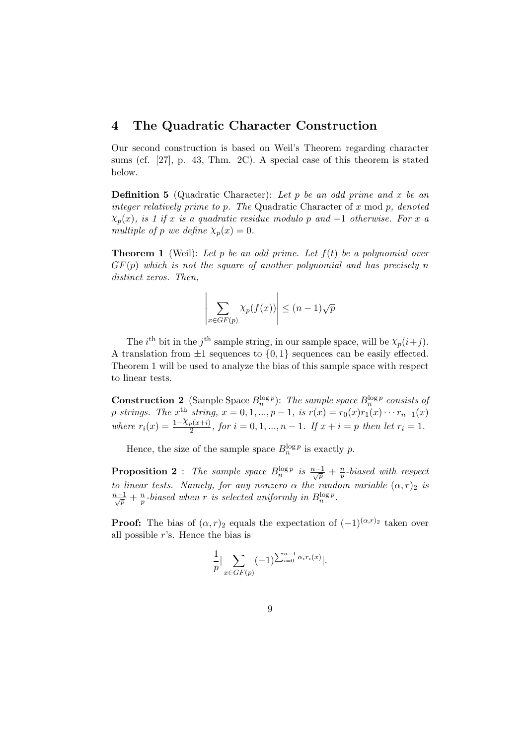#### 4 The Quadratic Character Construction

Our second construction is based on Weil's Theorem regarding character sums (cf. [27], p. 43, Thm. 2C). A special case of this theorem is stated below.

**Definition 5** (Quadratic Character): Let p be an odd prime and x be an integer relatively prime to p. The Quadratic Character of  $x \mod p$ , denoted  $\chi_p(x)$ , is 1 if x is a quadratic residue modulo p and -1 otherwise. For x a multiple of p we define  $\chi_p(x) = 0$ .

**Theorem 1** (Weil): Let p be an odd prime. Let  $f(t)$  be a polynomial over  $GF(p)$  which is not the square of another polynomial and has precisely n distinct zeros. Then,

$$
\left| \sum_{x \in GF(p)} \chi_p(f(x)) \right| \le (n-1)\sqrt{p}
$$

The *i*<sup>th</sup> bit in the *j*<sup>th</sup> sample string, in our sample space, will be  $\chi_p(i+j)$ . A translation from  $\pm 1$  sequences to  $\{0, 1\}$  sequences can be easily effected. Theorem 1 will be used to analyze the bias of this sample space with respect to linear tests.

**Construction 2** (Sample Space  $B_n^{\log p}$ ): The sample space  $B_n^{\log p}$  consists of p strings. The  $x^{\text{th}}$  string,  $x = 0, 1, ..., p - 1$ , is  $\overline{r(x)} = r_0(x)r_1(x) \cdots r_{n-1}(x)$ where  $r_i(x) = \frac{1-\chi_p(x+i)}{2}$ , for  $i = 0, 1, ..., n-1$ . If  $x + i = p$  then let  $r_i = 1$ .

Hence, the size of the sample space  $B_n^{\log p}$  is exactly p.

**Proposition 2**: The sample space  $B_n^{\log p}$  is  $\frac{n-1}{\sqrt{p}} + \frac{n}{p}$  $\frac{n}{p}$ -biased with respect to linear tests. Namely, for any nonzero  $\alpha$  the random variable  $(\alpha, r)_2$  is  $\frac{n-1}{\sqrt{p}}+\frac{n}{p}$  $\frac{n}{p}$ -biased when r is selected uniformly in  $B^{\log p}_{n}$ .

**Proof:** The bias of  $(\alpha, r)_2$  equals the expectation of  $(-1)^{(\alpha, r)_2}$  taken over all possible r's. Hence the bias is

$$
\frac{1}{p} \Big| \sum_{x \in GF(p)} (-1)^{\sum_{i=0}^{n-1} \alpha_i r_i(x)} \Big|.
$$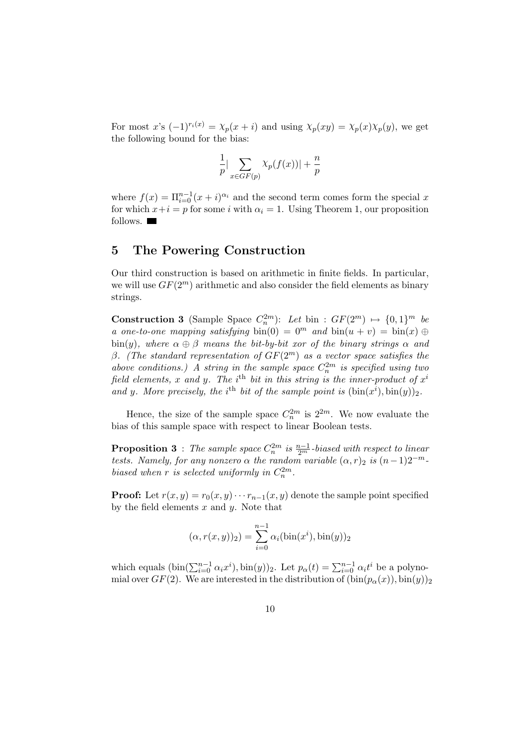For most x's  $(-1)^{r_i(x)} = \chi_p(x+i)$  and using  $\chi_p(xy) = \chi_p(x)\chi_p(y)$ , we get the following bound for the bias:

$$
\frac{1}{p}|\sum_{x \in GF(p)} \chi_p(f(x))| + \frac{n}{p}
$$

where  $f(x) = \prod_{i=0}^{n-1} (x+i)^{\alpha_i}$  and the second term comes form the special x for which  $x+i = p$  for some i with  $\alpha_i = 1$ . Using Theorem 1, our proposition follows.

## 5 The Powering Construction

Our third construction is based on arithmetic in finite fields. In particular, we will use  $GF(2^m)$  arithmetic and also consider the field elements as binary strings.

**Construction 3** (Sample Space  $C_n^{2m}$ ): Let bin :  $GF(2^m) \rightarrow \{0, 1\}^m$  be a one-to-one mapping satisfying bin(0) =  $0^m$  and bin $(u + v) = \text{bin}(x) \oplus$ bin(y), where  $\alpha \oplus \beta$  means the bit-by-bit xor of the binary strings  $\alpha$  and β. (The standard representation of  $GF(2<sup>m</sup>)$  as a vector space satisfies the above conditions.) A string in the sample space  $C_n^{2m}$  is specified using two field elements, x and y. The i<sup>th</sup> bit in this string is the inner-product of  $x^i$ and y. More precisely, the i<sup>th</sup> bit of the sample point is  $(\text{bin}(x^i), \text{bin}(y))_2$ .

Hence, the size of the sample space  $C_n^{2m}$  is  $2^{2m}$ . We now evaluate the bias of this sample space with respect to linear Boolean tests.

**Proposition 3** : The sample space  $C_n^{2m}$  is  $\frac{n-1}{2^m}$ -biased with respect to linear tests. Namely, for any nonzero  $\alpha$  the random variable  $(\alpha, r)_2$  is  $(n-1)2^{-m}$ . biased when r is selected uniformly in  $C_n^{2m}$ .

**Proof:** Let  $r(x, y) = r_0(x, y) \cdots r_{n-1}(x, y)$  denote the sample point specified by the field elements  $x$  and  $y$ . Note that

$$
(\alpha, r(x, y))_2) = \sum_{i=0}^{n-1} \alpha_i(\text{bin}(x^i), \text{bin}(y))_2
$$

which equals  $(\text{bin}(\sum_{i=0}^{n-1} \alpha_i x^i), \text{bin}(y))_2$ . Let  $p_\alpha(t) = \sum_{i=0}^{n-1} \alpha_i t^i$  be a polynomial over  $GF(2)$ . We are interested in the distribution of  $(\text{bin}(p_{\alpha}(x)), \text{bin}(y))_2$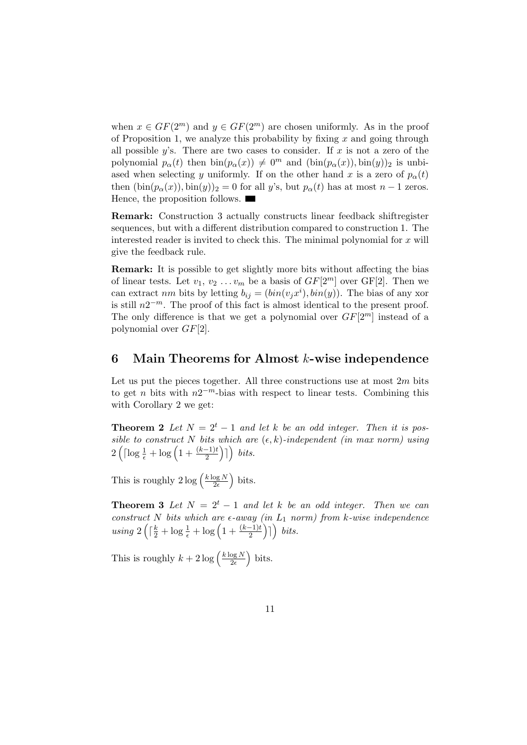when  $x \in GF(2^m)$  and  $y \in GF(2^m)$  are chosen uniformly. As in the proof of Proposition 1, we analyze this probability by fixing  $x$  and going through all possible  $y$ 's. There are two cases to consider. If x is not a zero of the polynomial  $p_{\alpha}(t)$  then  $\text{bin}(p_{\alpha}(x)) \neq 0^m$  and  $(\text{bin}(p_{\alpha}(x)), \text{bin}(y))_2$  is unbiased when selecting y uniformly. If on the other hand x is a zero of  $p_{\alpha}(t)$ then  $(\text{bin}(p_{\alpha}(x)), \text{bin}(y))_2 = 0$  for all y's, but  $p_{\alpha}(t)$  has at most  $n-1$  zeros. Hence, the proposition follows.

Remark: Construction 3 actually constructs linear feedback shiftregister sequences, but with a different distribution compared to construction 1. The interested reader is invited to check this. The minimal polynomial for  $x$  will give the feedback rule.

Remark: It is possible to get slightly more bits without affecting the bias of linear tests. Let  $v_1, v_2 \ldots v_m$  be a basis of  $GF[2^m]$  over  $GF[2]$ . Then we can extract nm bits by letting  $b_{ij} = (bin(v_j x^i), bin(y))$ . The bias of any xor is still  $n2^{-m}$ . The proof of this fact is almost identical to the present proof. The only difference is that we get a polynomial over  $GF[2^m]$  instead of a polynomial over GF[2].

## 6 Main Theorems for Almost k-wise independence

Let us put the pieces together. All three constructions use at most  $2m$  bits to get *n* bits with  $n2^{-m}$ -bias with respect to linear tests. Combining this with Corollary 2 we get:

**Theorem 2** Let  $N = 2^t - 1$  and let k be an odd integer. Then it is possible to construct N bits which are  $(\epsilon, k)$ -independent (in max norm) using  $2\left(\lceil \log\frac{1}{\epsilon}+\log\left(1+\frac{(k-1)t}{2}\right)\rceil\right)$  bits.

This is roughly  $2 \log \left( \frac{k \log N}{2\epsilon} \right)$  $\frac{\log N}{2\epsilon}$  bits.

**Theorem 3** Let  $N = 2^t - 1$  and let k be an odd integer. Then we can construct N bits which are  $\epsilon$ -away (in  $L_1$  norm) from k-wise independence using  $2\left(\lceil \frac{k}{2} + \log \frac{1}{\epsilon} + \log \left(1 + \frac{(k-1)t}{2}\right) \rceil \right)$  bits.

This is roughly  $k + 2 \log \left( \frac{k \log N}{2\epsilon} \right)$  $\frac{\log N}{2\epsilon}$  bits.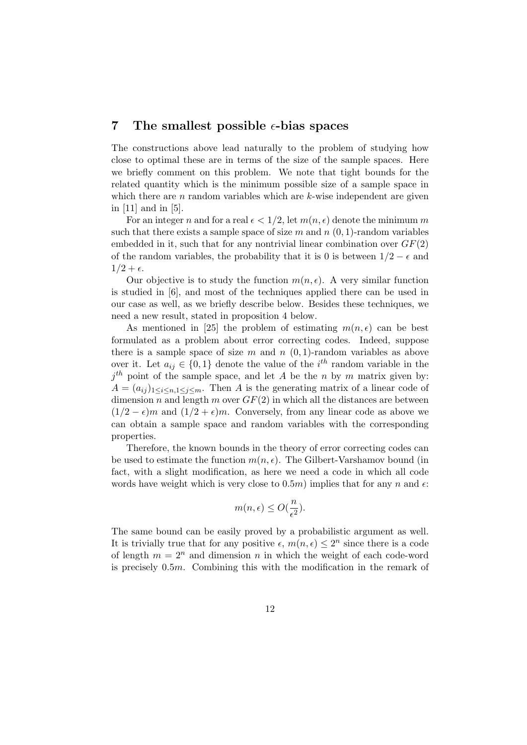## 7 The smallest possible  $\epsilon$ -bias spaces

The constructions above lead naturally to the problem of studying how close to optimal these are in terms of the size of the sample spaces. Here we briefly comment on this problem. We note that tight bounds for the related quantity which is the minimum possible size of a sample space in which there are  $n$  random variables which are  $k$ -wise independent are given in [11] and in [5].

For an integer n and for a real  $\epsilon < 1/2$ , let  $m(n, \epsilon)$  denote the minimum m such that there exists a sample space of size m and  $n(0, 1)$ -random variables embedded in it, such that for any nontrivial linear combination over  $GF(2)$ of the random variables, the probability that it is 0 is between  $1/2 - \epsilon$  and  $1/2 + \epsilon$ .

Our objective is to study the function  $m(n, \epsilon)$ . A very similar function is studied in [6], and most of the techniques applied there can be used in our case as well, as we briefly describe below. Besides these techniques, we need a new result, stated in proposition 4 below.

As mentioned in [25] the problem of estimating  $m(n, \epsilon)$  can be best formulated as a problem about error correcting codes. Indeed, suppose there is a sample space of size m and  $n(0,1)$ -random variables as above over it. Let  $a_{ij} \in \{0,1\}$  denote the value of the  $i^{th}$  random variable in the  $j<sup>th</sup>$  point of the sample space, and let A be the n by m matrix given by:  $A = (a_{ij})_{1 \leq i \leq n, 1 \leq j \leq m}$ . Then A is the generating matrix of a linear code of dimension n and length m over  $GF(2)$  in which all the distances are between  $(1/2 - \epsilon)m$  and  $(1/2 + \epsilon)m$ . Conversely, from any linear code as above we can obtain a sample space and random variables with the corresponding properties.

Therefore, the known bounds in the theory of error correcting codes can be used to estimate the function  $m(n, \epsilon)$ . The Gilbert-Varshamov bound (in fact, with a slight modification, as here we need a code in which all code words have weight which is very close to  $(0.5m)$  implies that for any n and  $\epsilon$ .

$$
m(n,\epsilon) \le O(\frac{n}{\epsilon^2}).
$$

The same bound can be easily proved by a probabilistic argument as well. It is trivially true that for any positive  $\epsilon$ ,  $m(n, \epsilon) \leq 2^n$  since there is a code of length  $m = 2^n$  and dimension n in which the weight of each code-word is precisely 0.5m. Combining this with the modification in the remark of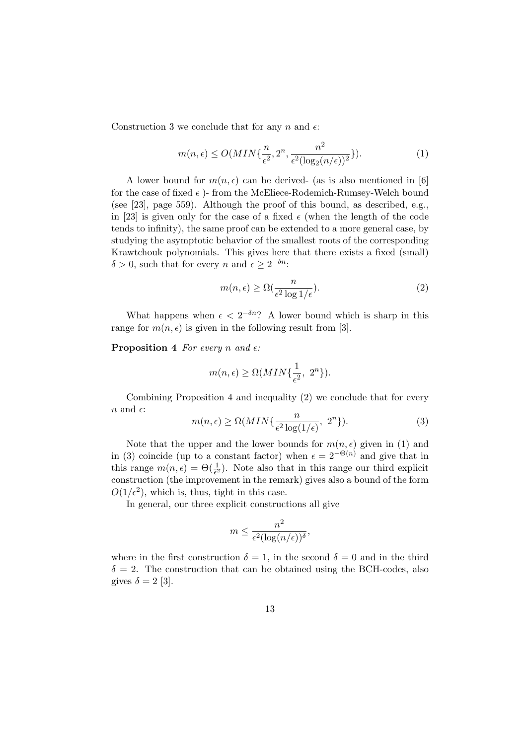Construction 3 we conclude that for any n and  $\epsilon$ :

$$
m(n,\epsilon) \le O(MIN\{\frac{n}{\epsilon^2}, 2^n, \frac{n^2}{\epsilon^2(\log_2(n/\epsilon))^2}\}).
$$
\n(1)

A lower bound for  $m(n, \epsilon)$  can be derived- (as is also mentioned in [6] for the case of fixed  $\epsilon$  )- from the McEliece-Rodemich-Rumsey-Welch bound (see [23], page 559). Although the proof of this bound, as described, e.g., in [23] is given only for the case of a fixed  $\epsilon$  (when the length of the code tends to infinity), the same proof can be extended to a more general case, by studying the asymptotic behavior of the smallest roots of the corresponding Krawtchouk polynomials. This gives here that there exists a fixed (small)  $\delta > 0$ , such that for every n and  $\epsilon \geq 2^{-\delta n}$ .

$$
m(n,\epsilon) \ge \Omega\left(\frac{n}{\epsilon^2 \log 1/\epsilon}\right). \tag{2}
$$

What happens when  $\epsilon < 2^{-\delta n}$ ? A lower bound which is sharp in this range for  $m(n, \epsilon)$  is given in the following result from [3].

**Proposition 4** For every n and  $\epsilon$ :

$$
m(n,\epsilon) \ge \Omega(MIN\{\frac{1}{\epsilon^2}, 2^n\}).
$$

Combining Proposition 4 and inequality (2) we conclude that for every  $n$  and  $\epsilon$ :

$$
m(n,\epsilon) \ge \Omega(MIN\{\frac{n}{\epsilon^2 \log(1/\epsilon)}, 2^n\}).\tag{3}
$$

Note that the upper and the lower bounds for  $m(n, \epsilon)$  given in (1) and in (3) coincide (up to a constant factor) when  $\epsilon = 2^{-\Theta(n)}$  and give that in this range  $m(n, \epsilon) = \Theta(\frac{1}{\epsilon^2})$ . Note also that in this range our third explicit construction (the improvement in the remark) gives also a bound of the form  $O(1/\epsilon^2)$ , which is, thus, tight in this case.

In general, our three explicit constructions all give

$$
m \le \frac{n^2}{\epsilon^2 (\log(n/\epsilon))^{\delta}},
$$

where in the first construction  $\delta = 1$ , in the second  $\delta = 0$  and in the third  $\delta = 2$ . The construction that can be obtained using the BCH-codes, also gives  $\delta = 2$  [3].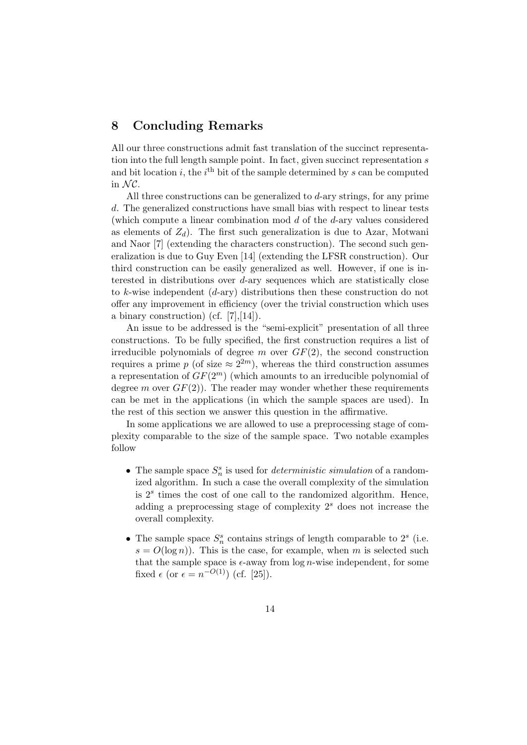# 8 Concluding Remarks

All our three constructions admit fast translation of the succinct representation into the full length sample point. In fact, given succinct representation  $s$ and bit location i, the i<sup>th</sup> bit of the sample determined by s can be computed in  $\mathcal{N} \mathcal{C}$ .

All three constructions can be generalized to  $d$ -ary strings, for any prime d. The generalized constructions have small bias with respect to linear tests (which compute a linear combination mod d of the d-ary values considered as elements of  $Z_d$ ). The first such generalization is due to Azar, Motwani and Naor [7] (extending the characters construction). The second such generalization is due to Guy Even [14] (extending the LFSR construction). Our third construction can be easily generalized as well. However, if one is interested in distributions over d-ary sequences which are statistically close to k-wise independent  $(d\text{-ary})$  distributions then these construction do not offer any improvement in efficiency (over the trivial construction which uses a binary construction) (cf.  $[7], [14]$ ).

An issue to be addressed is the "semi-explicit" presentation of all three constructions. To be fully specified, the first construction requires a list of irreducible polynomials of degree m over  $GF(2)$ , the second construction requires a prime p (of size  $\approx 2^{2m}$ ), whereas the third construction assumes a representation of  $GF(2^m)$  (which amounts to an irreducible polynomial of degree m over  $GF(2)$ ). The reader may wonder whether these requirements can be met in the applications (in which the sample spaces are used). In the rest of this section we answer this question in the affirmative.

In some applications we are allowed to use a preprocessing stage of complexity comparable to the size of the sample space. Two notable examples follow

- The sample space  $S_n^s$  is used for *deterministic simulation* of a randomized algorithm. In such a case the overall complexity of the simulation is  $2<sup>s</sup>$  times the cost of one call to the randomized algorithm. Hence, adding a preprocessing stage of complexity  $2<sup>s</sup>$  does not increase the overall complexity.
- The sample space  $S_n^s$  contains strings of length comparable to  $2^s$  (i.e.  $s = O(\log n)$ . This is the case, for example, when m is selected such that the sample space is  $\epsilon$ -away from  $\log n$ -wise independent, for some fixed  $\epsilon$  (or  $\epsilon = n^{-O(1)}$ ) (cf. [25]).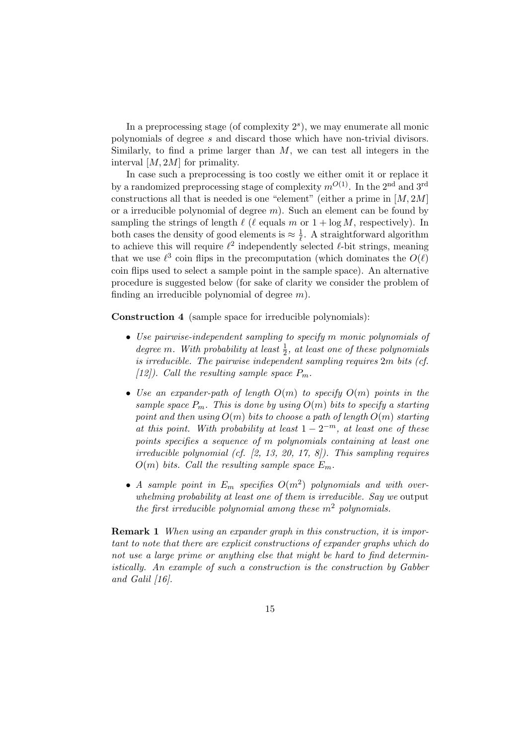In a preprocessing stage (of complexity  $2<sup>s</sup>$ ), we may enumerate all monic polynomials of degree s and discard those which have non-trivial divisors. Similarly, to find a prime larger than  $M$ , we can test all integers in the interval [M, 2M] for primality.

In case such a preprocessing is too costly we either omit it or replace it by a randomized preprocessing stage of complexity  $m^{O(1)}$ . In the 2<sup>nd</sup> and 3<sup>rd</sup> constructions all that is needed is one "element" (either a prime in  $[M, 2M]$ ) or a irreducible polynomial of degree  $m$ ). Such an element can be found by sampling the strings of length  $\ell$  ( $\ell$  equals m or  $1 + \log M$ , respectively). In both cases the density of good elements is  $\approx \frac{1}{\ell}$  $\frac{1}{\ell}$ . A straightforward algorithm to achieve this will require  $\ell^2$  independently selected  $\ell$ -bit strings, meaning that we use  $\ell^3$  coin flips in the precomputation (which dominates the  $O(\ell)$ coin flips used to select a sample point in the sample space). An alternative procedure is suggested below (for sake of clarity we consider the problem of finding an irreducible polynomial of degree  $m$ ).

Construction 4 (sample space for irreducible polynomials):

- Use pairwise-independent sampling to specify m monic polynomials of degree m. With probability at least  $\frac{1}{2}$ , at least one of these polynomials is irreducible. The pairwise independent sampling requires 2m bits (cf.  $[12]$ ). Call the resulting sample space  $P_m$ .
- Use an expander-path of length  $O(m)$  to specify  $O(m)$  points in the sample space  $P_m$ . This is done by using  $O(m)$  bits to specify a starting point and then using  $O(m)$  bits to choose a path of length  $O(m)$  starting at this point. With probability at least  $1 - 2^{-m}$ , at least one of these points specifies a sequence of m polynomials containing at least one irreducible polynomial (cf.  $[2, 13, 20, 17, 8]$ ). This sampling requires  $O(m)$  bits. Call the resulting sample space  $E_m$ .
- A sample point in  $E_m$  specifies  $O(m^2)$  polynomials and with overwhelming probability at least one of them is irreducible. Say we output the first irreducible polynomial among these  $m^2$  polynomials.

Remark 1 When using an expander graph in this construction, it is important to note that there are explicit constructions of expander graphs which do not use a large prime or anything else that might be hard to find deterministically. An example of such a construction is the construction by Gabber and Galil [16].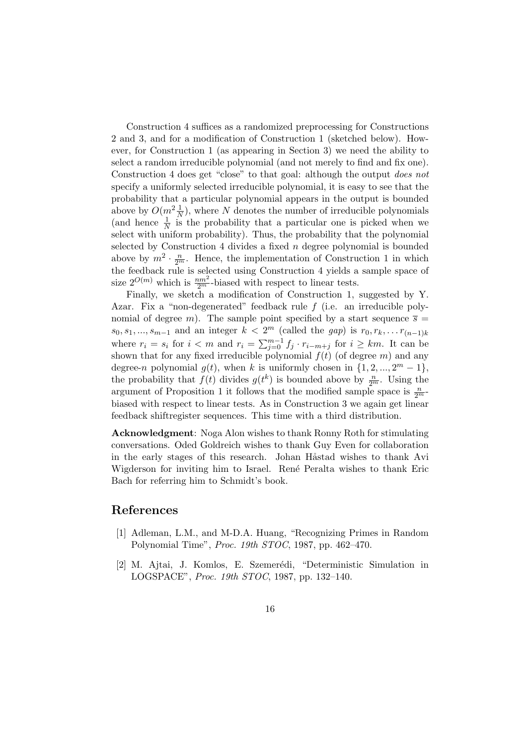Construction 4 suffices as a randomized preprocessing for Constructions 2 and 3, and for a modification of Construction 1 (sketched below). However, for Construction 1 (as appearing in Section 3) we need the ability to select a random irreducible polynomial (and not merely to find and fix one). Construction 4 does get "close" to that goal: although the output does not specify a uniformly selected irreducible polynomial, it is easy to see that the probability that a particular polynomial appears in the output is bounded above by  $O(m^2 \frac{1}{N})$ , where N denotes the number of irreducible polynomials (and hence  $\frac{1}{N}$  is the probability that a particular one is picked when we select with uniform probability). Thus, the probability that the polynomial selected by Construction 4 divides a fixed  $n$  degree polynomial is bounded above by  $m^2 \cdot \frac{n}{2^m}$ . Hence, the implementation of Construction 1 in which the feedback rule is selected using Construction 4 yields a sample space of size  $2^{O(m)}$  which is  $\frac{nm^2}{2^m}$ -biased with respect to linear tests.

Finally, we sketch a modification of Construction 1, suggested by Y. Azar. Fix a "non-degenerated" feedback rule f (i.e. an irreducible polynomial of degree m). The sample point specified by a start sequence  $\overline{s} =$  $s_0, s_1, \ldots, s_{m-1}$  and an integer  $k < 2^m$  (called the gap) is  $r_0, r_k, \ldots r_{(n-1)k}$ where  $r_i = s_i$  for  $i < m$  and  $r_i = \sum_{j=0}^{m-1} f_j \cdot r_{i-m+j}$  for  $i \geq km$ . It can be shown that for any fixed irreducible polynomial  $f(t)$  (of degree m) and any degree-n polynomial  $g(t)$ , when k is uniformly chosen in  $\{1, 2, ..., 2^m - 1\}$ , the probability that  $f(t)$  divides  $g(t^k)$  is bounded above by  $\frac{n}{2^m}$ . Using the argument of Proposition 1 it follows that the modified sample space is  $\frac{n}{2^m}$ . biased with respect to linear tests. As in Construction 3 we again get linear feedback shiftregister sequences. This time with a third distribution.

Acknowledgment: Noga Alon wishes to thank Ronny Roth for stimulating conversations. Oded Goldreich wishes to thank Guy Even for collaboration in the early stages of this research. Johan Håstad wishes to thank Avi Wigderson for inviting him to Israel. René Peralta wishes to thank Eric Bach for referring him to Schmidt's book.

# References

- [1] Adleman, L.M., and M-D.A. Huang, "Recognizing Primes in Random Polynomial Time", Proc. 19th STOC, 1987, pp. 462–470.
- [2] M. Ajtai, J. Komlos, E. Szemerédi, "Deterministic Simulation in LOGSPACE", Proc. 19th STOC, 1987, pp. 132–140.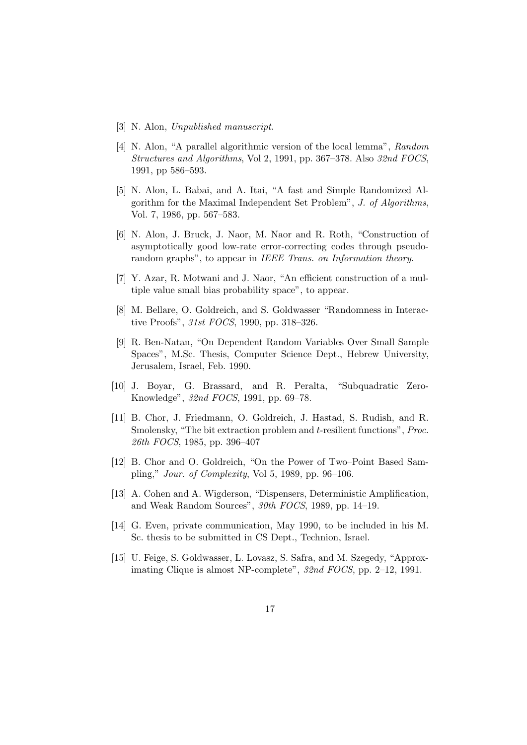- [3] N. Alon, Unpublished manuscript.
- [4] N. Alon, "A parallel algorithmic version of the local lemma", Random Structures and Algorithms, Vol 2, 1991, pp. 367–378. Also 32nd FOCS, 1991, pp 586–593.
- [5] N. Alon, L. Babai, and A. Itai, "A fast and Simple Randomized Algorithm for the Maximal Independent Set Problem", J. of Algorithms, Vol. 7, 1986, pp. 567–583.
- [6] N. Alon, J. Bruck, J. Naor, M. Naor and R. Roth, "Construction of asymptotically good low-rate error-correcting codes through pseudorandom graphs", to appear in IEEE Trans. on Information theory.
- [7] Y. Azar, R. Motwani and J. Naor, "An efficient construction of a multiple value small bias probability space", to appear.
- [8] M. Bellare, O. Goldreich, and S. Goldwasser "Randomness in Interactive Proofs", 31st FOCS, 1990, pp. 318-326.
- [9] R. Ben-Natan, "On Dependent Random Variables Over Small Sample Spaces", M.Sc. Thesis, Computer Science Dept., Hebrew University, Jerusalem, Israel, Feb. 1990.
- [10] J. Boyar, G. Brassard, and R. Peralta, "Subquadratic Zero-Knowledge", 32nd FOCS, 1991, pp. 69–78.
- [11] B. Chor, J. Friedmann, O. Goldreich, J. Hastad, S. Rudish, and R. Smolensky, "The bit extraction problem and t-resilient functions", Proc. 26th FOCS, 1985, pp. 396–407
- [12] B. Chor and O. Goldreich, "On the Power of Two–Point Based Sampling," Jour. of Complexity, Vol 5, 1989, pp. 96–106.
- [13] A. Cohen and A. Wigderson, "Dispensers, Deterministic Amplification, and Weak Random Sources", 30th FOCS, 1989, pp. 14–19.
- [14] G. Even, private communication, May 1990, to be included in his M. Sc. thesis to be submitted in CS Dept., Technion, Israel.
- [15] U. Feige, S. Goldwasser, L. Lovasz, S. Safra, and M. Szegedy, "Approximating Clique is almost NP-complete", 32nd FOCS, pp. 2–12, 1991.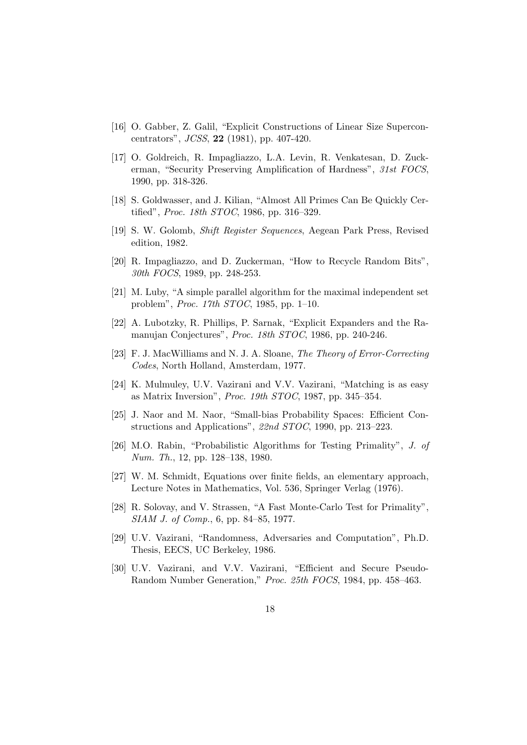- [16] O. Gabber, Z. Galil, "Explicit Constructions of Linear Size Superconcentrators", JCSS, 22 (1981), pp. 407-420.
- [17] O. Goldreich, R. Impagliazzo, L.A. Levin, R. Venkatesan, D. Zuckerman, "Security Preserving Amplification of Hardness", 31st FOCS, 1990, pp. 318-326.
- [18] S. Goldwasser, and J. Kilian, "Almost All Primes Can Be Quickly Certified", *Proc. 18th STOC*, 1986, pp. 316–329.
- [19] S. W. Golomb, Shift Register Sequences, Aegean Park Press, Revised edition, 1982.
- [20] R. Impagliazzo, and D. Zuckerman, "How to Recycle Random Bits", 30th FOCS, 1989, pp. 248-253.
- [21] M. Luby, "A simple parallel algorithm for the maximal independent set problem", Proc. 17th STOC, 1985, pp. 1–10.
- [22] A. Lubotzky, R. Phillips, P. Sarnak, "Explicit Expanders and the Ramanujan Conjectures", Proc. 18th STOC, 1986, pp. 240-246.
- [23] F. J. MacWilliams and N. J. A. Sloane, The Theory of Error-Correcting Codes, North Holland, Amsterdam, 1977.
- [24] K. Mulmuley, U.V. Vazirani and V.V. Vazirani, "Matching is as easy as Matrix Inversion", Proc. 19th STOC, 1987, pp. 345–354.
- [25] J. Naor and M. Naor, "Small-bias Probability Spaces: Efficient Constructions and Applications", 22nd STOC, 1990, pp. 213–223.
- [26] M.O. Rabin, "Probabilistic Algorithms for Testing Primality", J. of Num. Th., 12, pp. 128–138, 1980.
- [27] W. M. Schmidt, Equations over finite fields, an elementary approach, Lecture Notes in Mathematics, Vol. 536, Springer Verlag (1976).
- [28] R. Solovay, and V. Strassen, "A Fast Monte-Carlo Test for Primality", SIAM J. of Comp., 6, pp. 84–85, 1977.
- [29] U.V. Vazirani, "Randomness, Adversaries and Computation", Ph.D. Thesis, EECS, UC Berkeley, 1986.
- [30] U.V. Vazirani, and V.V. Vazirani, "Efficient and Secure Pseudo-Random Number Generation," Proc. 25th FOCS, 1984, pp. 458–463.